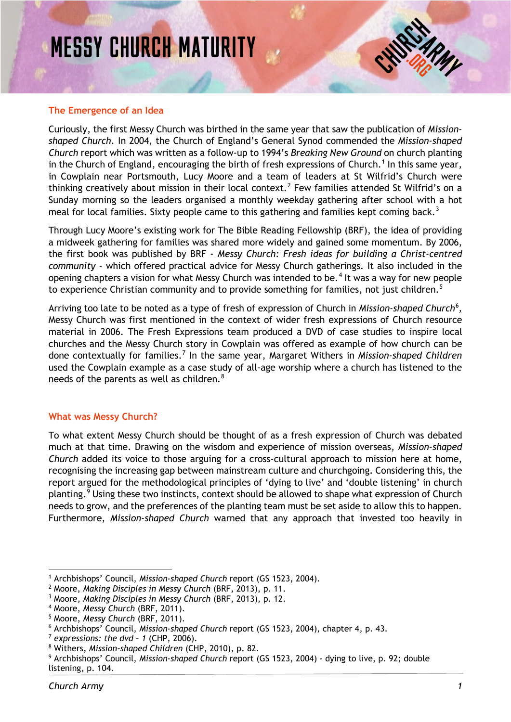# MESSY CHURCH MATURITY

#### **The Emergence of an Idea**

Curiously, the first Messy Church was birthed in the same year that saw the publication of *Missionshaped Church.* In 2004, the Church of England's General Synod commended the *Mission-shaped Church* report which was written as a follow-up to 1994's *Breaking New Ground* on church planting in the Church of England, encouraging the birth of fresh expressions of Church. [1](#page-0-0) In this same year, in Cowplain near Portsmouth, Lucy Moore and a team of leaders at St Wilfrid's Church were thinking creatively about mission in their local context.<sup>[2](#page-0-1)</sup> Few families attended St Wilfrid's on a Sunday morning so the leaders organised a monthly weekday gathering after school with a hot meal for local families. Sixty people came to this gathering and families kept coming back.<sup>[3](#page-0-2)</sup>

Through Lucy Moore's existing work for The Bible Reading Fellowship (BRF), the idea of providing a midweek gathering for families was shared more widely and gained some momentum. By [2006,](https://www.amazon.co.uk/Messy-Church-Building-Christ-centred-Community/dp/1841015032/ref=sr_1_16?ie=UTF8&qid=1486375363&sr=8-16&keywords=messy+church)  the first book was published by BRF - *[Messy Church: Fresh ideas for building a Christ-centred](https://www.amazon.co.uk/Messy-Church-Building-Christ-centred-Community/dp/1841015032/ref=sr_1_16?ie=UTF8&qid=1486375363&sr=8-16&keywords=messy+church)  community -* [which offered practical advice for Messy Church gatherings. It also included in the](https://www.amazon.co.uk/Messy-Church-Building-Christ-centred-Community/dp/1841015032/ref=sr_1_16?ie=UTF8&qid=1486375363&sr=8-16&keywords=messy+church)  [opening chapters a vision for what Messy Church was intended to be.](https://www.amazon.co.uk/Messy-Church-Building-Christ-centred-Community/dp/1841015032/ref=sr_1_16?ie=UTF8&qid=1486375363&sr=8-16&keywords=messy+church)<sup>[4](#page-0-3)</sup> It was a way for new people [to experience Christian community and to provide something](https://www.amazon.co.uk/Messy-Church-Building-Christ-centred-Community/dp/1841015032/ref=sr_1_16?ie=UTF8&qid=1486375363&sr=8-16&keywords=messy+church) for families, not just children.<sup>[5](#page-0-4)</sup>

Arriving too late to be noted as a type of fresh of expression of Church in *Mission-shaped Church*<sup>[6](#page-0-5)</sup>, Messy Church was first mentioned in the context of wider fresh expressions of Church resource material in 2006. The Fresh Expressions team produced a DVD of case studies to inspire local churches and the Messy Church story in Cowplain was offered as example of how church can be done contextually for families.[7](#page-0-6) In the same year, Margaret Withers in *Mission-shaped Children* used the Cowplain example as a case study of all-age worship where a church has listened to the needs of the parents as well as children.<sup>[8](#page-0-7)</sup>

## **What was Messy Church?**

To what extent Messy Church should be thought of as a fresh expression of Church was debated much at that time. Drawing on the wisdom and experience of mission overseas, *Mission-shaped Church* added its voice to those arguing for a cross-cultural approach to mission here at home, recognising the increasing gap between mainstream culture and churchgoing. Considering this, the report argued for the methodological principles of 'dying to live' and 'double listening' in church planting.<sup>[9](#page-0-8)</sup> Using these two instincts, context should be allowed to shape what expression of Church needs to grow, and the preferences of the planting team must be set aside to allow this to happen. Furthermore, *Mission-shaped Church* warned that any approach that invested too heavily in

<span id="page-0-0"></span><sup>1</sup> Archbishops' Council, *Mission-shaped Church* report (GS 1523, 2004).

<span id="page-0-1"></span><sup>2</sup> Moore, *Making Disciples in Messy Church* (BRF, 2013), p. 11.

<span id="page-0-2"></span><sup>3</sup> Moore, *Making Disciples in Messy Church* (BRF, 2013), p. 12.

<span id="page-0-3"></span><sup>4</sup> Moore, *Messy Church* (BRF, 2011).

<span id="page-0-4"></span><sup>5</sup> Moore, *Messy Church* (BRF, 2011).

<span id="page-0-5"></span><sup>6</sup> Archbishops' Council, *Mission-shaped Church* report (GS 1523, 2004), chapter 4, p. 43.

<span id="page-0-6"></span><sup>7</sup> *expressions: the dvd – 1* (CHP, 2006).

<span id="page-0-7"></span><sup>8</sup> Withers, *Mission-shaped Children* (CHP, 2010), p. 82.

<span id="page-0-8"></span><sup>9</sup> Archbishops' Council, *Mission-shaped Church* report (GS 1523, 2004) - dying to live, p. 92; double listening, p. 104.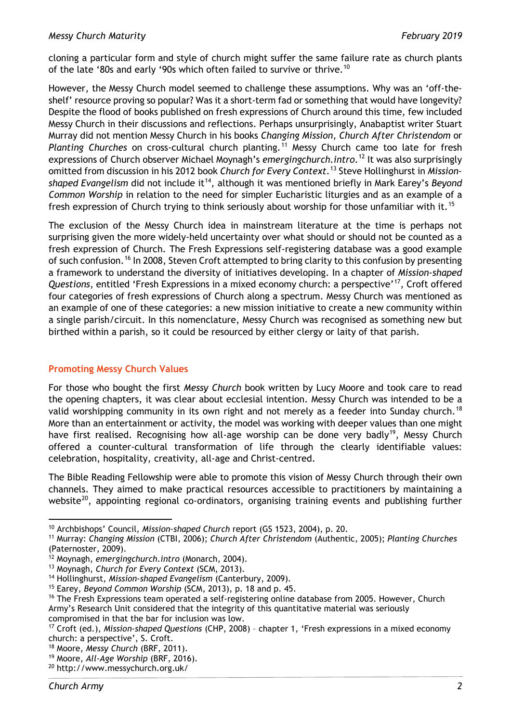cloning a particular form and style of church might suffer the same failure rate as church plants of the late '80s and early '90s which often failed to survive or thrive.<sup>[10](#page-1-0)</sup>

However, the Messy Church model seemed to challenge these assumptions. Why was an 'off-theshelf' resource proving so popular? Was it a short-term fad or something that would have longevity? Despite the flood of books published on fresh expressions of Church around this time, few included Messy Church in their discussions and reflections. Perhaps unsurprisingly, Anabaptist writer Stuart Murray did not mention Messy Church in his books *Changing Mission*, *Church After Christendom* or *Planting Churches* on cross-cultural church planting.[11](#page-1-1) Messy Church came too late for fresh expressions of Church observer Michael Moynagh's *emergingchurch.intro*. [12](#page-1-2) It was also surprisingly omitted from discussion in his 2012 book *Church for Every Context*. [13](#page-1-3) Steve Hollinghurst in *Mission-*shaped Evangelism did not include it<sup>[14](#page-1-4)</sup>, although it was mentioned briefly in Mark Earey's *Beyond Common Worship* in relation to the need for simpler Eucharistic liturgies and as an example of a fresh expression of Church trying to think seriously about worship for those unfamiliar with it.<sup>[15](#page-1-5)</sup>

The exclusion of the Messy Church idea in mainstream literature at the time is perhaps not surprising given the more widely-held uncertainty over what should or should not be counted as a fresh expression of Church. The Fresh Expressions self-registering database was a good example of such confusion.<sup>[16](#page-1-6)</sup> In 2008, Steven Croft attempted to bring clarity to this confusion by presenting a framework to understand the diversity of initiatives developing. In a chapter of *Mission-shaped*  Questions, entitled 'Fresh Expressions in a mixed economy church: a perspective'<sup>17</sup>, Croft offered four categories of fresh expressions of Church along a spectrum. Messy Church was mentioned as an example of one of these categories: a new mission initiative to create a new community within a single parish/circuit. In this nomenclature, Messy Church was recognised as something new but birthed within a parish, so it could be resourced by either clergy or laity of that parish.

# **Promoting Messy Church Values**

For those who bought the first *Messy Church* book written by Lucy Moore and took care to read the opening chapters, it was clear about ecclesial intention. Messy Church was intended to be a valid worshipping community in its own right and not merely as a feeder into Sunday church.<sup>[18](#page-1-8)</sup> More than an entertainment or activity, the model was working with deeper values than one might have first realised. Recognising how all-age worship can be done very badly<sup>[19](#page-1-9)</sup>, Messy Church offered a counter-cultural transformation of life through the clearly identifiable values: celebration, hospitality, creativity, all-age and Christ-centred.

The Bible Reading Fellowship were able to promote this vision of Messy Church through their own channels. They aimed to make practical resources accessible to practitioners by maintaining a website<sup>20</sup>, appointing regional co-ordinators, organising training events and publishing further

 $\overline{\phantom{a}}$ <sup>10</sup> Archbishops' Council, *Mission-shaped Church* report (GS 1523, 2004), p. 20.

<span id="page-1-1"></span><span id="page-1-0"></span><sup>11</sup> Murray: *Changing Mission* (CTBI, 2006); *Church After Christendom* (Authentic, 2005); *Planting Churches* (Paternoster, 2009).

<span id="page-1-2"></span><sup>12</sup> Moynagh, *emergingchurch.intro* (Monarch, 2004).

<span id="page-1-3"></span><sup>13</sup> Moynagh, *Church for Every Context* (SCM, 2013).

<span id="page-1-4"></span><sup>14</sup> Hollinghurst, *Mission-shaped Evangelism* (Canterbury, 2009).

<span id="page-1-5"></span><sup>15</sup> Earey, *Beyond Common Worship* (SCM, 2013), p. 18 and p. 45.

<span id="page-1-6"></span><sup>&</sup>lt;sup>16</sup> The Fresh Expressions team operated a self-registering online database from 2005. However, Church Army's Research Unit considered that the integrity of this quantitative material was seriously

compromised in that the bar for inclusion was low.

<span id="page-1-7"></span><sup>17</sup> Croft (ed.), *Mission-shaped Questions* (CHP, 2008) – chapter 1, 'Fresh expressions in a mixed economy church: a perspective', S. Croft.

<span id="page-1-8"></span><sup>18</sup> Moore, *Messy Church* (BRF, 2011).

<span id="page-1-9"></span><sup>19</sup> Moore, *All-Age Worship* (BRF, 2016).

<span id="page-1-10"></span><sup>20</sup> http://www.messychurch.org.uk/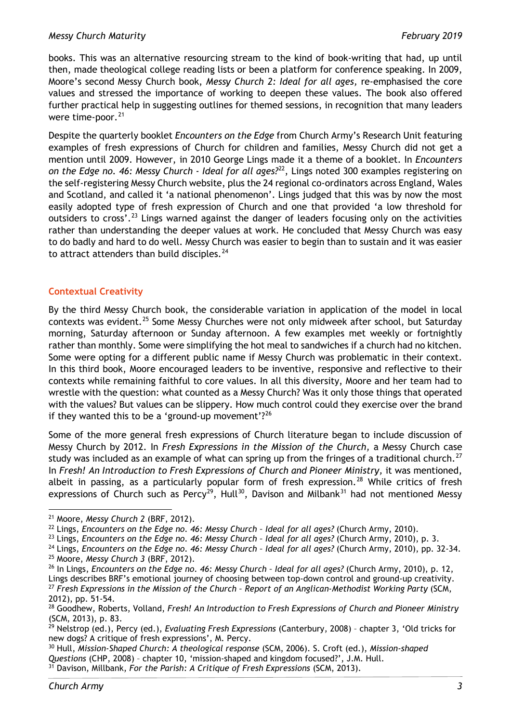#### *Messy Church Maturity February 2019*

books. This was an alternative resourcing stream to the kind of book-writing that had, up until then, made theological college reading lists or been a platform for conference speaking. In 2009, Moore's second Messy Church book, *Messy Church 2: Ideal for all ages,* re-emphasised the core values and stressed the importance of working to deepen these values. The book also offered further practical help in suggesting outlines for themed sessions, in recognition that many leaders were time-poor. $21$ 

Despite the quarterly booklet *Encounters on the Edge* from Church Army's Research Unit featuring examples of fresh expressions of Church for children and families, Messy Church did not get a mention until 2009. However, in 2010 George Lings made it a theme of a booklet. In *Encounters on the Edge no. 46: Messy Church - Ideal for all ages?*[22,](#page-2-1) Lings noted 300 examples registering on the self-registering Messy Church website, plus the 24 regional co-ordinators across England, Wales and Scotland, and called it 'a national phenomenon'. Lings judged that this was by now the most easily adopted type of fresh expression of Church and one that provided 'a low threshold for outsiders to cross'.<sup>[23](#page-2-2)</sup> Lings warned against the danger of leaders focusing only on the activities rather than understanding the deeper values at work. He concluded that Messy Church was easy to do badly and hard to do well. Messy Church was easier to begin than to sustain and it was easier to attract attenders than build disciples. $^{24}$  $^{24}$  $^{24}$ 

## **Contextual Creativity**

By the third Messy Church book, the considerable variation in application of the model in local contexts was evident.<sup>[25](#page-2-4)</sup> Some Messy Churches were not only midweek after school, but Saturday morning, Saturday afternoon or Sunday afternoon. A few examples met weekly or fortnightly rather than monthly. Some were simplifying the hot meal to sandwiches if a church had no kitchen. Some were opting for a different public name if Messy Church was problematic in their context. In this third book, Moore encouraged leaders to be inventive, responsive and reflective to their contexts while remaining faithful to core values. In all this diversity, Moore and her team had to wrestle with the question: what counted as a Messy Church? Was it only those things that operated with the values? But values can be slippery. How much control could they exercise over the brand if they wanted this to be a 'ground-up movement'?<sup>[26](#page-2-5)</sup>

Some of the more general fresh expressions of Church literature began to include discussion of Messy Church by 2012. In *Fresh Expressions in the Mission of the Church,* a Messy Church case study was included as an example of what can spring up from the fringes of a traditional church.<sup>[27](#page-2-6)</sup> In *Fresh! An Introduction to Fresh Expressions of Church and Pioneer Ministry,* it was mentioned, albeit in passing, as a particularly popular form of fresh expression.<sup>[28](#page-2-7)</sup> While critics of fresh expressions of Church such as Percy<sup>29</sup>, Hull<sup>30</sup>, Davison and Milbank<sup>[31](#page-2-10)</sup> had not mentioned Messy

- <span id="page-2-3"></span><span id="page-2-2"></span><span id="page-2-1"></span><sup>23</sup> Lings, *Encounters on the Edge no. 46: Messy Church – Ideal for all ages?* (Church Army, 2010), p. 3.
- <sup>24</sup> Lings, *Encounters on the Edge no. 46: Messy Church – Ideal for all ages?* (Church Army, 2010), pp. 32-34. <sup>25</sup> Moore, *Messy Church 3* (BRF, 2012).
- <span id="page-2-5"></span><span id="page-2-4"></span><sup>26</sup> In Lings, *Encounters on the Edge no. 46: Messy Church – Ideal for all ages?* (Church Army, 2010), p. 12, Lings describes BRF's emotional journey of choosing between top-down control and ground-up creativity. <sup>27</sup> *Fresh Expressions in the Mission of the Church – Report of an Anglican-Methodist Working Party* (SCM, 2012), pp. 51-54.

<span id="page-2-0"></span><sup>21</sup> Moore, *Messy Church 2* (BRF, 2012).

<sup>22</sup> Lings, *Encounters on the Edge no. 46: Messy Church – Ideal for all ages?* (Church Army, 2010).

<span id="page-2-7"></span><span id="page-2-6"></span><sup>28</sup> Goodhew, Roberts, Volland, *Fresh! An Introduction to Fresh Expressions of Church and Pioneer Ministry* (SCM, 2013), p. 83.

<span id="page-2-8"></span><sup>29</sup> Nelstrop (ed.), Percy (ed.), *Evaluating Fresh Expressions* (Canterbury, 2008) – chapter 3, 'Old tricks for new dogs? A critique of fresh expressions', M. Percy.

<span id="page-2-10"></span><span id="page-2-9"></span><sup>30</sup> Hull, *Mission-Shaped Church: A theological response* (SCM, 2006). S. Croft (ed.), *Mission-shaped Questions* (CHP, 2008) – chapter 10, 'mission-shaped and kingdom focused?', J.M. Hull. <sup>31</sup> Davison, Millbank, *For the Parish: A Critique of Fresh Expressions* (SCM, 2013).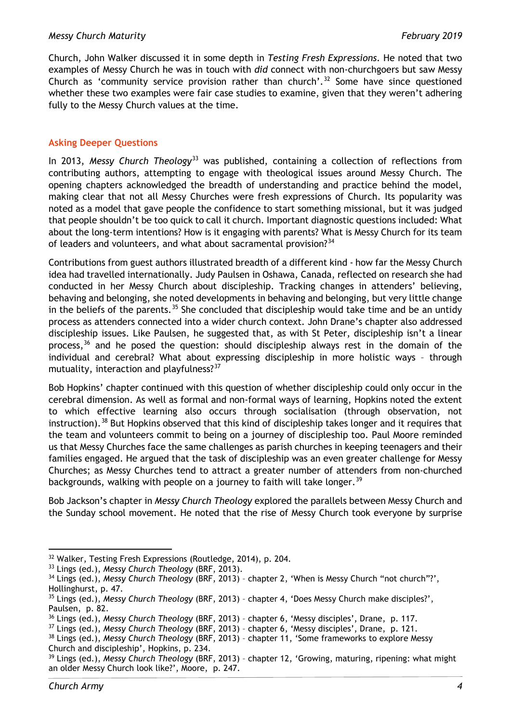Church, John Walker discussed it in some depth in *Testing Fresh Expressions*. He noted that two examples of Messy Church he was in touch with *did* connect with non-churchgoers but saw Messy Church as 'community service provision rather than church'.<sup>[32](#page-3-0)</sup> Some have since questioned whether these two examples were fair case studies to examine, given that they weren't adhering fully to the Messy Church values at the time.

## **Asking Deeper Questions**

In 2013, *Messy Church Theology*<sup>[33](#page-3-1)</sup> was published, containing a collection of reflections from contributing authors, attempting to engage with theological issues around Messy Church. The opening chapters acknowledged the breadth of understanding and practice behind the model, making clear that not all Messy Churches were fresh expressions of Church. Its popularity was noted as a model that gave people the confidence to start something missional, but it was judged that people shouldn't be too quick to call it church. Important diagnostic questions included: What about the long-term intentions? How is it engaging with parents? What is Messy Church for its team of leaders and volunteers, and what about sacramental provision?<sup>[34](#page-3-2)</sup>

Contributions from guest authors illustrated breadth of a different kind - how far the Messy Church idea had travelled internationally. Judy Paulsen in Oshawa, Canada, reflected on research she had conducted in her Messy Church about discipleship. Tracking changes in attenders' believing, behaving and belonging, she noted developments in behaving and belonging, but very little change in the beliefs of the parents.<sup>[35](#page-3-3)</sup> She concluded that discipleship would take time and be an untidy process as attenders connected into a wider church context. John Drane's chapter also addressed discipleship issues. Like Paulsen, he suggested that, as with St Peter, discipleship isn't a linear process,<sup>[36](#page-3-4)</sup> and he posed the question: should discipleship always rest in the domain of the individual and cerebral? What about expressing discipleship in more holistic ways – through mutuality, interaction and playfulness? $37$ 

Bob Hopkins' chapter continued with this question of whether discipleship could only occur in the cerebral dimension. As well as formal and non-formal ways of learning, Hopkins noted the extent to which effective learning also occurs through socialisation (through observation, not instruction).<sup>[38](#page-3-6)</sup> But Hopkins observed that this kind of discipleship takes longer and it requires that the team and volunteers commit to being on a journey of discipleship too. Paul Moore reminded us that Messy Churches face the same challenges as parish churches in keeping teenagers and their families engaged. He argued that the task of discipleship was an even greater challenge for Messy Churches; as Messy Churches tend to attract a greater number of attenders from non-churched backgrounds, walking with people on a journey to faith will take longer.<sup>[39](#page-3-7)</sup>

Bob Jackson's chapter in *Messy Church Theology* explored the parallels between Messy Church and the Sunday school movement. He noted that the rise of Messy Church took everyone by surprise

<span id="page-3-0"></span><sup>32</sup> Walker, Testing Fresh Expressions (Routledge, 2014), p. 204.

<span id="page-3-1"></span><sup>33</sup> Lings (ed.), *Messy Church Theology* (BRF, 2013).

<span id="page-3-2"></span><sup>&</sup>lt;sup>34</sup> Lings (ed.), *Messy Church Theology* (BRF, 2013) - chapter 2, 'When is Messy Church "not church"?', Hollinghurst, p. 47.

<span id="page-3-3"></span><sup>35</sup> Lings (ed.), *Messy Church Theology* (BRF, 2013) – chapter 4, 'Does Messy Church make disciples?', Paulsen, p. 82.

<span id="page-3-4"></span><sup>36</sup> Lings (ed.), *Messy Church Theology* (BRF, 2013) – chapter 6, 'Messy disciples', Drane, p. 117.

<span id="page-3-5"></span><sup>37</sup> Lings (ed.), *Messy Church Theology* (BRF, 2013) – chapter 6, 'Messy disciples', Drane, p. 121.

<span id="page-3-6"></span><sup>38</sup> Lings (ed.), *Messy Church Theology* (BRF, 2013) – chapter 11, 'Some frameworks to explore Messy

Church and discipleship', Hopkins, p. 234.

<span id="page-3-7"></span><sup>39</sup> Lings (ed.), *Messy Church Theology* (BRF, 2013) – chapter 12, 'Growing, maturing, ripening: what might an older Messy Church look like?', Moore, p. 247.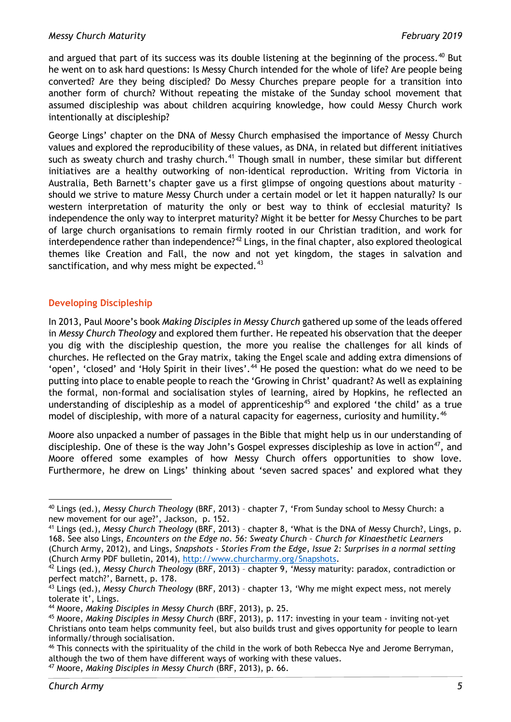#### *Messy Church Maturity February 2019*

and argued that part of its success was its double listening at the beginning of the process.<sup>[40](#page-4-0)</sup> But he went on to ask hard questions: Is Messy Church intended for the whole of life? Are people being converted? Are they being discipled? Do Messy Churches prepare people for a transition into another form of church? Without repeating the mistake of the Sunday school movement that assumed discipleship was about children acquiring knowledge, how could Messy Church work intentionally at discipleship?

George Lings' chapter on the DNA of Messy Church emphasised the importance of Messy Church values and explored the reproducibility of these values, as DNA, in related but different initiatives such as sweaty church and trashy church.<sup>[41](#page-4-1)</sup> Though small in number, these similar but different initiatives are a healthy outworking of non-identical reproduction. Writing from Victoria in Australia, Beth Barnett's chapter gave us a first glimpse of ongoing questions about maturity – should we strive to mature Messy Church under a certain model or let it happen naturally? Is our western interpretation of maturity the only or best way to think of ecclesial maturity? Is independence the only way to interpret maturity? Might it be better for Messy Churches to be part of large church organisations to remain firmly rooted in our Christian tradition, and work for interdependence rather than independence?<sup>[42](#page-4-2)</sup> Lings, in the final chapter, also explored theological themes like Creation and Fall, the now and not yet kingdom, the stages in salvation and sanctification, and why mess might be expected. $43$ 

## **Developing Discipleship**

In 2013, Paul Moore's book *Making Disciples in Messy Church* gathered up some of the leads offered in *Messy Church Theology* and explored them further. He repeated his observation that the deeper you dig with the discipleship question, the more you realise the challenges for all kinds of churches. He reflected on the Gray matrix, taking the Engel scale and adding extra dimensions of 'open', 'closed' and 'Holy Spirit in their lives'.<sup>[44](#page-4-4)</sup> He posed the question: what do we need to be putting into place to enable people to reach the 'Growing in Christ' quadrant? As well as explaining the formal, non-formal and socialisation styles of learning, aired by Hopkins, he reflected an understanding of discipleship as a model of apprenticeship<sup>[45](#page-4-5)</sup> and explored 'the child' as a true model of discipleship, with more of a natural capacity for eagerness, curiosity and humility.<sup>[46](#page-4-6)</sup>

Moore also unpacked a number of passages in the Bible that might help us in our understanding of discipleship. One of these is the way John's Gospel expresses discipleship as love in action<sup>[47](#page-4-7)</sup>, and Moore offered some examples of how Messy Church offers opportunities to show love. Furthermore, he drew on Lings' thinking about 'seven sacred spaces' and explored what they

<span id="page-4-0"></span><sup>40</sup> Lings (ed.), *Messy Church Theology* (BRF, 2013) – chapter 7, 'From Sunday school to Messy Church: a new movement for our age?', Jackson, p. 152.

<span id="page-4-1"></span><sup>41</sup> Lings (ed.), *Messy Church Theology* (BRF, 2013) – chapter 8, 'What is the DNA of Messy Church?, Lings, p. 168. See also Lings, *Encounters on the Edge no. 56: Sweaty Church – Church for Kinaesthetic Learners* 

<sup>(</sup>Church Army, 2012), and Lings, *Snapshots - Stories From the Edge, Issue 2: Surprises in a normal setting*  (Church Army PDF bulletin, 2014), [http://www.churcharmy.org/Snapshots.](http://www.churcharmy.org/Snapshots)

<span id="page-4-2"></span><sup>42</sup> Lings (ed.), *Messy Church Theology* (BRF, 2013) – chapter 9, 'Messy maturity: paradox, contradiction or perfect match?', Barnett, p. 178.

<span id="page-4-3"></span><sup>43</sup> Lings (ed.), *Messy Church Theology* (BRF, 2013) – chapter 13, 'Why me might expect mess, not merely tolerate it', Lings.

<span id="page-4-4"></span><sup>44</sup> Moore, *Making Disciples in Messy Church* (BRF, 2013), p. 25.

<span id="page-4-5"></span><sup>45</sup> Moore, *Making Disciples in Messy Church* (BRF, 2013), p. 117: investing in your team - inviting not-yet Christians onto team helps community feel, but also builds trust and gives opportunity for people to learn informally/through socialisation.

<span id="page-4-6"></span><sup>46</sup> This connects with the spirituality of the child in the work of both Rebecca Nye and Jerome Berryman, although the two of them have different ways of working with these values.

<span id="page-4-7"></span><sup>47</sup> Moore, *Making Disciples in Messy Church* (BRF, 2013), p. 66.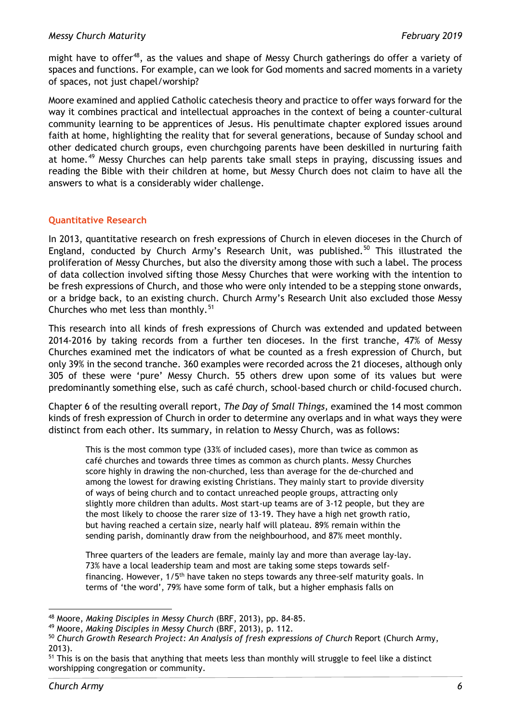might have to offer<sup>48</sup>, as the values and shape of Messy Church gatherings do offer a variety of spaces and functions. For example, can we look for God moments and sacred moments in a variety of spaces, not just chapel/worship?

Moore examined and applied Catholic catechesis theory and practice to offer ways forward for the way it combines practical and intellectual approaches in the context of being a counter-cultural community learning to be apprentices of Jesus. His penultimate chapter explored issues around faith at home, highlighting the reality that for several generations, because of Sunday school and other dedicated church groups, even churchgoing parents have been deskilled in nurturing faith at home.<sup>[49](#page-5-1)</sup> Messy Churches can help parents take small steps in praying, discussing issues and reading the Bible with their children at home, but Messy Church does not claim to have all the answers to what is a considerably wider challenge.

# **Quantitative Research**

In 2013, quantitative research on fresh expressions of Church in eleven dioceses in the Church of England, conducted by Church Army's Research Unit, was published.<sup>[50](#page-5-2)</sup> This illustrated the proliferation of Messy Churches, but also the diversity among those with such a label. The process of data collection involved sifting those Messy Churches that were working with the intention to be fresh expressions of Church, and those who were only intended to be a stepping stone onwards, or a bridge back, to an existing church. Church Army's Research Unit also excluded those Messy Churches who met less than monthly. $51$ 

This research into all kinds of fresh expressions of Church was extended and updated between 2014-2016 by taking records from a further ten dioceses. In the first tranche, 47% of Messy Churches examined met the indicators of what be counted as a fresh expression of Church, but only 39% in the second tranche. 360 examples were recorded across the 21 dioceses, although only 305 of these were 'pure' Messy Church. 55 others drew upon some of its values but were predominantly something else, such as café church, school-based church or child-focused church.

Chapter 6 of the resulting overall report, *The Day of Small Things,* examined the 14 most common kinds of fresh expression of Church in order to determine any overlaps and in what ways they were distinct from each other. Its summary, in relation to Messy Church, was as follows:

This is the most common type (33% of included cases), more than twice as common as café churches and towards three times as common as church plants. Messy Churches score highly in drawing the non-churched, less than average for the de-churched and among the lowest for drawing existing Christians. They mainly start to provide diversity of ways of being church and to contact unreached people groups, attracting only slightly more children than adults. Most start-up teams are of 3-12 people, but they are the most likely to choose the rarer size of 13-19. They have a high net growth ratio, but having reached a certain size, nearly half will plateau. 89% remain within the sending parish, dominantly draw from the neighbourhood, and 87% meet monthly.

Three quarters of the leaders are female, mainly lay and more than average lay-lay. 73% have a local leadership team and most are taking some steps towards selffinancing. However, 1/5<sup>th</sup> have taken no steps towards any three-self maturity goals. In terms of 'the word', 79% have some form of talk, but a higher emphasis falls on

<sup>&</sup>lt;u>.</u> <sup>48</sup> Moore, *Making Disciples in Messy Church* (BRF, 2013), pp. 84-85.

<span id="page-5-1"></span><span id="page-5-0"></span><sup>49</sup> Moore, *Making Disciples in Messy Church* (BRF, 2013), p. 112.

<span id="page-5-2"></span><sup>50</sup> *Church Growth Research Project: An Analysis of fresh expressions of Church* Report (Church Army, 2013).

<span id="page-5-3"></span><sup>&</sup>lt;sup>51</sup> This is on the basis that anything that meets less than monthly will struggle to feel like a distinct worshipping congregation or community.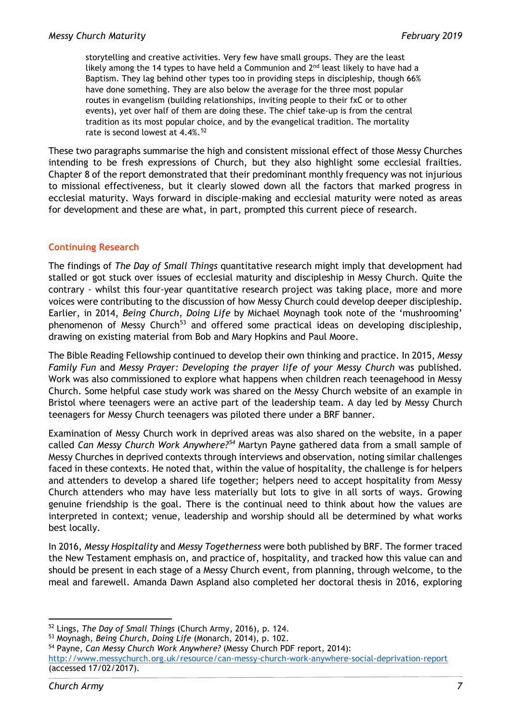storytelling and creative activities. Very few have small groups. They are the least likely among the 14 types to have held a Communion and  $2<sup>nd</sup>$  least likely to have had a Baptism. They lag behind other types too in providing steps in discipleship, though 66% have done something. They are also below the average for the three most popular routes in evangelism (building relationships, inviting people to their fxC or to other events), yet over half of them are doing these. The chief take-up is from the central tradition as its most popular choice, and by the evangelical tradition. The mortality rate is second lowest at  $4.4\%$ .<sup>[52](#page-6-0)</sup>

These two paragraphs summarise the high and consistent missional effect of those Messy Churches intending to be fresh expressions of Church, but they also highlight some ecclesial frailties. Chapter 8 of the report demonstrated that their predominant monthly frequency was not injurious to missional effectiveness, but it clearly slowed down all the factors that marked progress in ecclesial maturity. Ways forward in disciple-making and ecclesial maturity were noted as areas for development and these are what, in part, prompted this current piece of research.

# **Continuing Research**

The findings of *The Day of Small Things* quantitative research might imply that development had stalled or got stuck over issues of ecclesial maturity and discipleship in Messy Church. Quite the contrary - whilst this four-year quantitative research project was taking place, more and more voices were contributing to the discussion of how Messy Church could develop deeper discipleship. Earlier, in 2014, *Being Church, Doing Life* by Michael Moynagh took note of the 'mushrooming' phenomenon of Messy Church<sup>[53](#page-6-1)</sup> and offered some practical ideas on developing discipleship, drawing on existing material from Bob and Mary Hopkins and Paul Moore.

The Bible Reading Fellowship continued to develop their own thinking and practice. In 2015, *Messy Family Fun* and *Messy Prayer: Developing the prayer life of your Messy Church* was published. Work was also commissioned to explore what happens when children reach teenagehood in Messy Church. Some helpful case study work was shared on the Messy Church website of an example in Bristol where teenagers were an active part of the leadership team. A day led by Messy Church teenagers for Messy Church teenagers was piloted there under a BRF banner.

Examination of Messy Church work in deprived areas was also shared on the website, in a paper called *Can Messy Church Work Anywhere?[54](#page-6-2)* Martyn Payne gathered data from a small sample of Messy Churches in deprived contexts through interviews and observation, noting similar challenges faced in these contexts. He noted that, within the value of hospitality, the challenge is for helpers and attenders to develop a shared life together; helpers need to accept hospitality from Messy Church attenders who may have less materially but lots to give in all sorts of ways. Growing genuine friendship is the goal. There is the continual need to think about how the values are interpreted in context; venue, leadership and worship should all be determined by what works best locally.

In 2016, *Messy Hospitality* and *Messy Togetherness* were both published by BRF. The former traced the New Testament emphasis on, and practice of, hospitality, and tracked how this value can and should be present in each stage of a Messy Church event, from planning, through welcome, to the meal and farewell. Amanda Dawn Aspland also completed her doctoral thesis in 2016, exploring

<span id="page-6-2"></span><sup>54</sup> Payne, *Can Messy Church Work Anywhere?* (Messy Church PDF report, 2014):

<sup>&</sup>lt;u>.</u> <sup>52</sup> Lings, *The Day of Small Things* (Church Army, 2016), p. 124.

<span id="page-6-1"></span><span id="page-6-0"></span><sup>53</sup> Moynagh, *Being Church, Doing Life* (Monarch, 2014), p. 102.

<http://www.messychurch.org.uk/resource/can-messy-church-work-anywhere-social-deprivation-report> (accessed 17/02/2017).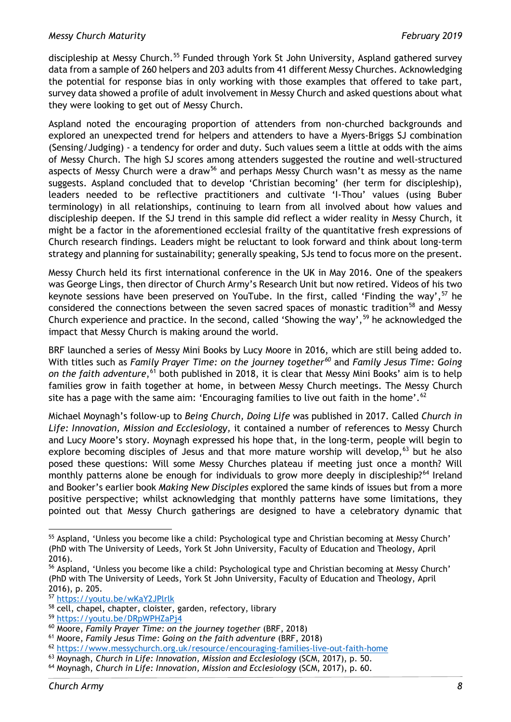#### *Messy Church Maturity February 2019*

discipleship at Messy Church.<sup>[55](#page-7-0)</sup> Funded through York St John University, Aspland gathered survey data from a sample of 260 helpers and 203 adults from 41 different Messy Churches. Acknowledging the potential for response bias in only working with those examples that offered to take part, survey data showed a profile of adult involvement in Messy Church and asked questions about what they were looking to get out of Messy Church.

Aspland noted the encouraging proportion of attenders from non-churched backgrounds and explored an unexpected trend for helpers and attenders to have a Myers-Briggs SJ combination (Sensing/Judging) - a tendency for order and duty. Such values seem a little at odds with the aims of Messy Church. The high SJ scores among attenders suggested the routine and well-structured aspects of Messy Church were a draw<sup>[56](#page-7-1)</sup> and perhaps Messy Church wasn't as messy as the name suggests. Aspland concluded that to develop 'Christian becoming' (her term for discipleship), leaders needed to be reflective practitioners and cultivate 'I-Thou' values (using Buber terminology) in all relationships, continuing to learn from all involved about how values and discipleship deepen. If the SJ trend in this sample did reflect a wider reality in Messy Church, it might be a factor in the aforementioned ecclesial frailty of the quantitative fresh expressions of Church research findings. Leaders might be reluctant to look forward and think about long-term strategy and planning for sustainability; generally speaking, SJs tend to focus more on the present.

Messy Church held its first international conference in the UK in May 2016. One of the speakers was George Lings, then director of Church Army's Research Unit but now retired. Videos of his two keynote sessions have been preserved on YouTube. In the first, called 'Finding the way',  $57$  he considered the connections between the seven sacred spaces of monastic tradition<sup>[58](#page-7-3)</sup> and Messy Church experience and practice. In the second, called 'Showing the way',  $59$  he acknowledged the impact that Messy Church is making around the world.

BRF launched a series of Messy Mini Books by Lucy Moore in 2016, which are still being added to. With titles such as *Family Prayer Time: on the journey together[60](#page-7-5)* and *Family Jesus Time: Going*  on the faith adventure,<sup>[61](#page-7-6)</sup> both published in 2018, it is clear that Messy Mini Books' aim is to help families grow in faith together at home, in between Messy Church meetings. The Messy Church site has a page with the same aim: 'Encouraging families to live out faith in the home'.<sup>[62](#page-7-7)</sup>

Michael Moynagh's follow-up to *Being Church, Doing Life* was published in 2017. Called *Church in Life: Innovation, Mission and Ecclesiology,* it contained a number of references to Messy Church and Lucy Moore's story. Moynagh expressed his hope that, in the long-term, people will begin to explore becoming disciples of Jesus and that more mature worship will develop,  $63$  but he also posed these questions: Will some Messy Churches plateau if meeting just once a month? Will monthly patterns alone be enough for individuals to grow more deeply in discipleship?<sup>[64](#page-7-9)</sup> Ireland and Booker's earlier book *Making New Disciples* explored the same kinds of issues but from a more positive perspective; whilst acknowledging that monthly patterns have some limitations, they pointed out that Messy Church gatherings are designed to have a celebratory dynamic that

 $\overline{\phantom{a}}$ 

<span id="page-7-0"></span><sup>55</sup> Aspland, 'Unless you become like a child: Psychological type and Christian becoming at Messy Church' (PhD with The University of Leeds, York St John University, Faculty of Education and Theology, April 2016).

<span id="page-7-1"></span><sup>56</sup> Aspland, 'Unless you become like a child: Psychological type and Christian becoming at Messy Church' (PhD with The University of Leeds, York St John University, Faculty of Education and Theology, April 2016), p. 205.

<span id="page-7-2"></span><sup>57</sup> <https://youtu.be/wKaY2JPlrlk>

<span id="page-7-3"></span><sup>&</sup>lt;sup>58</sup> cell, chapel, chapter, cloister, garden, refectory, library

<span id="page-7-4"></span><sup>59</sup> <https://youtu.be/DRpWPHZaPj4>

<span id="page-7-5"></span><sup>60</sup> Moore, *Family Prayer Time: on the journey together* (BRF, 2018)

<span id="page-7-6"></span><sup>61</sup> Moore, *Family Jesus Time: Going on the faith adventure* (BRF, 2018)

<span id="page-7-7"></span><sup>62</sup> <https://www.messychurch.org.uk/resource/encouraging-families-live-out-faith-home>

<span id="page-7-8"></span><sup>63</sup> Moynagh, *Church in Life: Innovation, Mission and Ecclesiology* (SCM, 2017), p. 50.

<span id="page-7-9"></span><sup>64</sup> Moynagh, *Church in Life: Innovation, Mission and Ecclesiology* (SCM, 2017), p. 60.